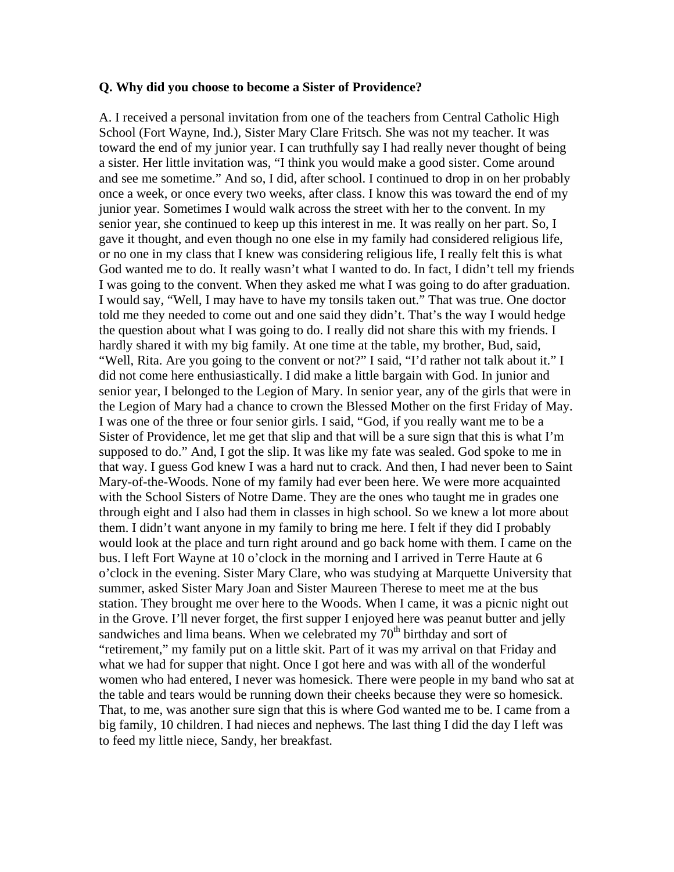#### **Q. Why did you choose to become a Sister of Providence?**

A. I received a personal invitation from one of the teachers from Central Catholic High School (Fort Wayne, Ind.), Sister Mary Clare Fritsch. She was not my teacher. It was toward the end of my junior year. I can truthfully say I had really never thought of being a sister. Her little invitation was, "I think you would make a good sister. Come around and see me sometime." And so, I did, after school. I continued to drop in on her probably once a week, or once every two weeks, after class. I know this was toward the end of my junior year. Sometimes I would walk across the street with her to the convent. In my senior year, she continued to keep up this interest in me. It was really on her part. So, I gave it thought, and even though no one else in my family had considered religious life, or no one in my class that I knew was considering religious life, I really felt this is what God wanted me to do. It really wasn't what I wanted to do. In fact, I didn't tell my friends I was going to the convent. When they asked me what I was going to do after graduation. I would say, "Well, I may have to have my tonsils taken out." That was true. One doctor told me they needed to come out and one said they didn't. That's the way I would hedge the question about what I was going to do. I really did not share this with my friends. I hardly shared it with my big family. At one time at the table, my brother, Bud, said, "Well, Rita. Are you going to the convent or not?" I said, "I'd rather not talk about it." I did not come here enthusiastically. I did make a little bargain with God. In junior and senior year, I belonged to the Legion of Mary. In senior year, any of the girls that were in the Legion of Mary had a chance to crown the Blessed Mother on the first Friday of May. I was one of the three or four senior girls. I said, "God, if you really want me to be a Sister of Providence, let me get that slip and that will be a sure sign that this is what I'm supposed to do." And, I got the slip. It was like my fate was sealed. God spoke to me in that way. I guess God knew I was a hard nut to crack. And then, I had never been to Saint Mary-of-the-Woods. None of my family had ever been here. We were more acquainted with the School Sisters of Notre Dame. They are the ones who taught me in grades one through eight and I also had them in classes in high school. So we knew a lot more about them. I didn't want anyone in my family to bring me here. I felt if they did I probably would look at the place and turn right around and go back home with them. I came on the bus. I left Fort Wayne at 10 o'clock in the morning and I arrived in Terre Haute at 6 o'clock in the evening. Sister Mary Clare, who was studying at Marquette University that summer, asked Sister Mary Joan and Sister Maureen Therese to meet me at the bus station. They brought me over here to the Woods. When I came, it was a picnic night out in the Grove. I'll never forget, the first supper I enjoyed here was peanut butter and jelly sandwiches and lima beans. When we celebrated my  $70<sup>th</sup>$  birthday and sort of "retirement," my family put on a little skit. Part of it was my arrival on that Friday and what we had for supper that night. Once I got here and was with all of the wonderful women who had entered, I never was homesick. There were people in my band who sat at the table and tears would be running down their cheeks because they were so homesick. That, to me, was another sure sign that this is where God wanted me to be. I came from a big family, 10 children. I had nieces and nephews. The last thing I did the day I left was to feed my little niece, Sandy, her breakfast.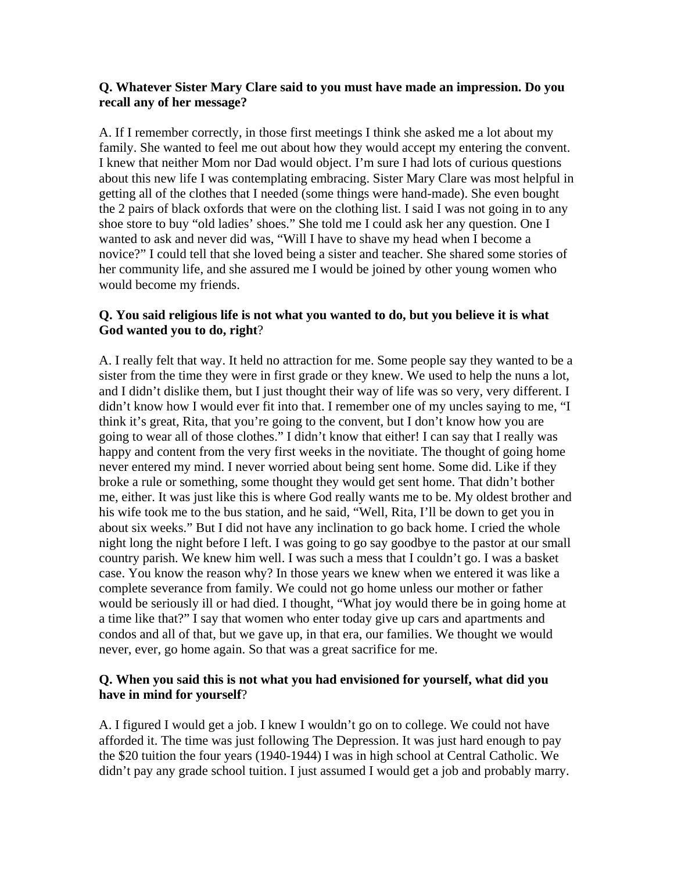#### **Q. Whatever Sister Mary Clare said to you must have made an impression. Do you recall any of her message?**

A. If I remember correctly, in those first meetings I think she asked me a lot about my family. She wanted to feel me out about how they would accept my entering the convent. I knew that neither Mom nor Dad would object. I'm sure I had lots of curious questions about this new life I was contemplating embracing. Sister Mary Clare was most helpful in getting all of the clothes that I needed (some things were hand-made). She even bought the 2 pairs of black oxfords that were on the clothing list. I said I was not going in to any shoe store to buy "old ladies' shoes." She told me I could ask her any question. One I wanted to ask and never did was, "Will I have to shave my head when I become a novice?" I could tell that she loved being a sister and teacher. She shared some stories of her community life, and she assured me I would be joined by other young women who would become my friends.

#### **Q. You said religious life is not what you wanted to do, but you believe it is what God wanted you to do, right**?

A. I really felt that way. It held no attraction for me. Some people say they wanted to be a sister from the time they were in first grade or they knew. We used to help the nuns a lot, and I didn't dislike them, but I just thought their way of life was so very, very different. I didn't know how I would ever fit into that. I remember one of my uncles saying to me, "I think it's great, Rita, that you're going to the convent, but I don't know how you are going to wear all of those clothes." I didn't know that either! I can say that I really was happy and content from the very first weeks in the novitiate. The thought of going home never entered my mind. I never worried about being sent home. Some did. Like if they broke a rule or something, some thought they would get sent home. That didn't bother me, either. It was just like this is where God really wants me to be. My oldest brother and his wife took me to the bus station, and he said, "Well, Rita, I'll be down to get you in about six weeks." But I did not have any inclination to go back home. I cried the whole night long the night before I left. I was going to go say goodbye to the pastor at our small country parish. We knew him well. I was such a mess that I couldn't go. I was a basket case. You know the reason why? In those years we knew when we entered it was like a complete severance from family. We could not go home unless our mother or father would be seriously ill or had died. I thought, "What joy would there be in going home at a time like that?" I say that women who enter today give up cars and apartments and condos and all of that, but we gave up, in that era, our families. We thought we would never, ever, go home again. So that was a great sacrifice for me.

#### **Q. When you said this is not what you had envisioned for yourself, what did you have in mind for yourself**?

A. I figured I would get a job. I knew I wouldn't go on to college. We could not have afforded it. The time was just following The Depression. It was just hard enough to pay the \$20 tuition the four years (1940-1944) I was in high school at Central Catholic. We didn't pay any grade school tuition. I just assumed I would get a job and probably marry.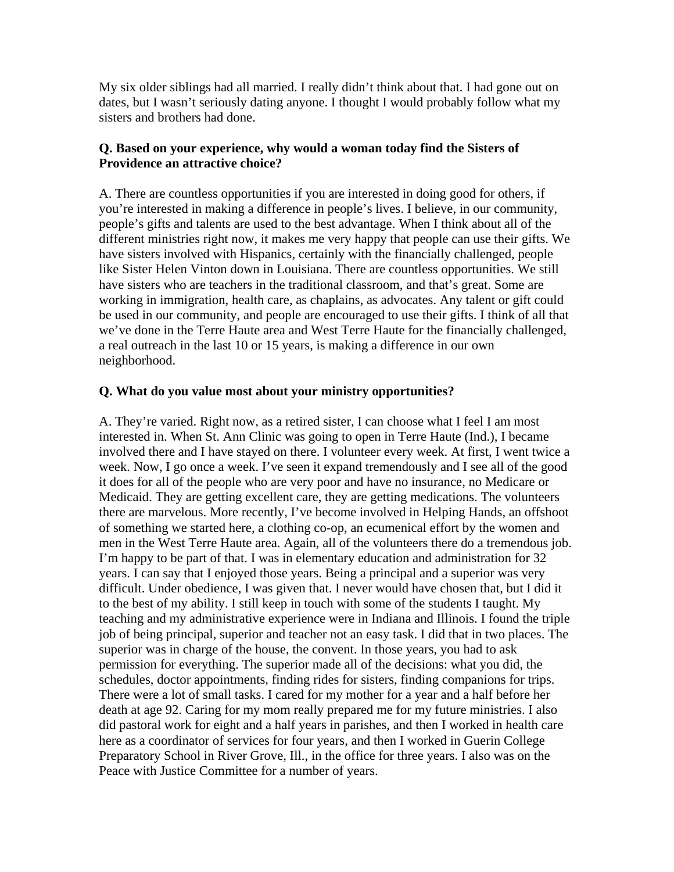My six older siblings had all married. I really didn't think about that. I had gone out on dates, but I wasn't seriously dating anyone. I thought I would probably follow what my sisters and brothers had done.

#### **Q. Based on your experience, why would a woman today find the Sisters of Providence an attractive choice?**

A. There are countless opportunities if you are interested in doing good for others, if you're interested in making a difference in people's lives. I believe, in our community, people's gifts and talents are used to the best advantage. When I think about all of the different ministries right now, it makes me very happy that people can use their gifts. We have sisters involved with Hispanics, certainly with the financially challenged, people like Sister Helen Vinton down in Louisiana. There are countless opportunities. We still have sisters who are teachers in the traditional classroom, and that's great. Some are working in immigration, health care, as chaplains, as advocates. Any talent or gift could be used in our community, and people are encouraged to use their gifts. I think of all that we've done in the Terre Haute area and West Terre Haute for the financially challenged, a real outreach in the last 10 or 15 years, is making a difference in our own neighborhood.

#### **Q. What do you value most about your ministry opportunities?**

A. They're varied. Right now, as a retired sister, I can choose what I feel I am most interested in. When St. Ann Clinic was going to open in Terre Haute (Ind.), I became involved there and I have stayed on there. I volunteer every week. At first, I went twice a week. Now, I go once a week. I've seen it expand tremendously and I see all of the good it does for all of the people who are very poor and have no insurance, no Medicare or Medicaid. They are getting excellent care, they are getting medications. The volunteers there are marvelous. More recently, I've become involved in Helping Hands, an offshoot of something we started here, a clothing co-op, an ecumenical effort by the women and men in the West Terre Haute area. Again, all of the volunteers there do a tremendous job. I'm happy to be part of that. I was in elementary education and administration for 32 years. I can say that I enjoyed those years. Being a principal and a superior was very difficult. Under obedience, I was given that. I never would have chosen that, but I did it to the best of my ability. I still keep in touch with some of the students I taught. My teaching and my administrative experience were in Indiana and Illinois. I found the triple job of being principal, superior and teacher not an easy task. I did that in two places. The superior was in charge of the house, the convent. In those years, you had to ask permission for everything. The superior made all of the decisions: what you did, the schedules, doctor appointments, finding rides for sisters, finding companions for trips. There were a lot of small tasks. I cared for my mother for a year and a half before her death at age 92. Caring for my mom really prepared me for my future ministries. I also did pastoral work for eight and a half years in parishes, and then I worked in health care here as a coordinator of services for four years, and then I worked in Guerin College Preparatory School in River Grove, Ill., in the office for three years. I also was on the Peace with Justice Committee for a number of years.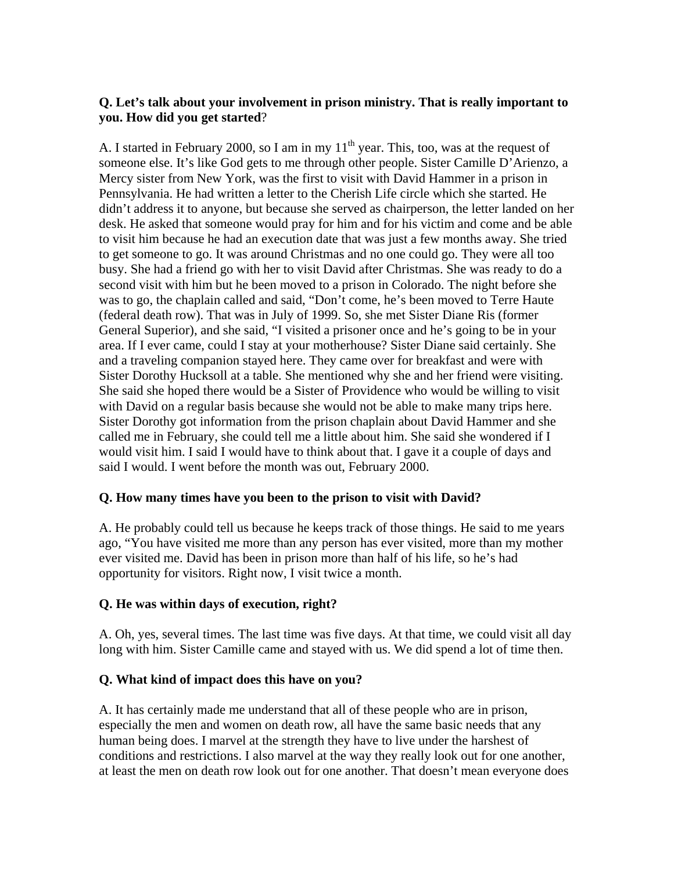### **Q. Let's talk about your involvement in prison ministry. That is really important to you. How did you get started**?

A. I started in February 2000, so I am in my  $11<sup>th</sup>$  year. This, too, was at the request of someone else. It's like God gets to me through other people. Sister Camille D'Arienzo, a Mercy sister from New York, was the first to visit with David Hammer in a prison in Pennsylvania. He had written a letter to the Cherish Life circle which she started. He didn't address it to anyone, but because she served as chairperson, the letter landed on her desk. He asked that someone would pray for him and for his victim and come and be able to visit him because he had an execution date that was just a few months away. She tried to get someone to go. It was around Christmas and no one could go. They were all too busy. She had a friend go with her to visit David after Christmas. She was ready to do a second visit with him but he been moved to a prison in Colorado. The night before she was to go, the chaplain called and said, "Don't come, he's been moved to Terre Haute (federal death row). That was in July of 1999. So, she met Sister Diane Ris (former General Superior), and she said, "I visited a prisoner once and he's going to be in your area. If I ever came, could I stay at your motherhouse? Sister Diane said certainly. She and a traveling companion stayed here. They came over for breakfast and were with Sister Dorothy Hucksoll at a table. She mentioned why she and her friend were visiting. She said she hoped there would be a Sister of Providence who would be willing to visit with David on a regular basis because she would not be able to make many trips here. Sister Dorothy got information from the prison chaplain about David Hammer and she called me in February, she could tell me a little about him. She said she wondered if I would visit him. I said I would have to think about that. I gave it a couple of days and said I would. I went before the month was out, February 2000.

### **Q. How many times have you been to the prison to visit with David?**

A. He probably could tell us because he keeps track of those things. He said to me years ago, "You have visited me more than any person has ever visited, more than my mother ever visited me. David has been in prison more than half of his life, so he's had opportunity for visitors. Right now, I visit twice a month.

### **Q. He was within days of execution, right?**

A. Oh, yes, several times. The last time was five days. At that time, we could visit all day long with him. Sister Camille came and stayed with us. We did spend a lot of time then.

### **Q. What kind of impact does this have on you?**

A. It has certainly made me understand that all of these people who are in prison, especially the men and women on death row, all have the same basic needs that any human being does. I marvel at the strength they have to live under the harshest of conditions and restrictions. I also marvel at the way they really look out for one another, at least the men on death row look out for one another. That doesn't mean everyone does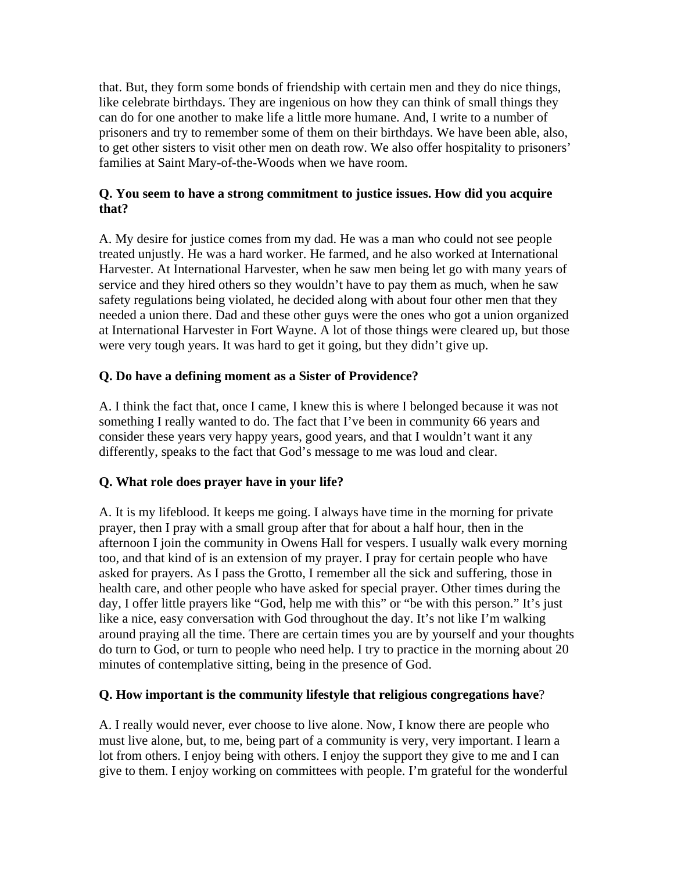that. But, they form some bonds of friendship with certain men and they do nice things, like celebrate birthdays. They are ingenious on how they can think of small things they can do for one another to make life a little more humane. And, I write to a number of prisoners and try to remember some of them on their birthdays. We have been able, also, to get other sisters to visit other men on death row. We also offer hospitality to prisoners' families at Saint Mary-of-the-Woods when we have room.

### **Q. You seem to have a strong commitment to justice issues. How did you acquire that?**

A. My desire for justice comes from my dad. He was a man who could not see people treated unjustly. He was a hard worker. He farmed, and he also worked at International Harvester. At International Harvester, when he saw men being let go with many years of service and they hired others so they wouldn't have to pay them as much, when he saw safety regulations being violated, he decided along with about four other men that they needed a union there. Dad and these other guys were the ones who got a union organized at International Harvester in Fort Wayne. A lot of those things were cleared up, but those were very tough years. It was hard to get it going, but they didn't give up.

# **Q. Do have a defining moment as a Sister of Providence?**

A. I think the fact that, once I came, I knew this is where I belonged because it was not something I really wanted to do. The fact that I've been in community 66 years and consider these years very happy years, good years, and that I wouldn't want it any differently, speaks to the fact that God's message to me was loud and clear.

### **Q. What role does prayer have in your life?**

A. It is my lifeblood. It keeps me going. I always have time in the morning for private prayer, then I pray with a small group after that for about a half hour, then in the afternoon I join the community in Owens Hall for vespers. I usually walk every morning too, and that kind of is an extension of my prayer. I pray for certain people who have asked for prayers. As I pass the Grotto, I remember all the sick and suffering, those in health care, and other people who have asked for special prayer. Other times during the day, I offer little prayers like "God, help me with this" or "be with this person." It's just like a nice, easy conversation with God throughout the day. It's not like I'm walking around praying all the time. There are certain times you are by yourself and your thoughts do turn to God, or turn to people who need help. I try to practice in the morning about 20 minutes of contemplative sitting, being in the presence of God.

### **Q. How important is the community lifestyle that religious congregations have**?

A. I really would never, ever choose to live alone. Now, I know there are people who must live alone, but, to me, being part of a community is very, very important. I learn a lot from others. I enjoy being with others. I enjoy the support they give to me and I can give to them. I enjoy working on committees with people. I'm grateful for the wonderful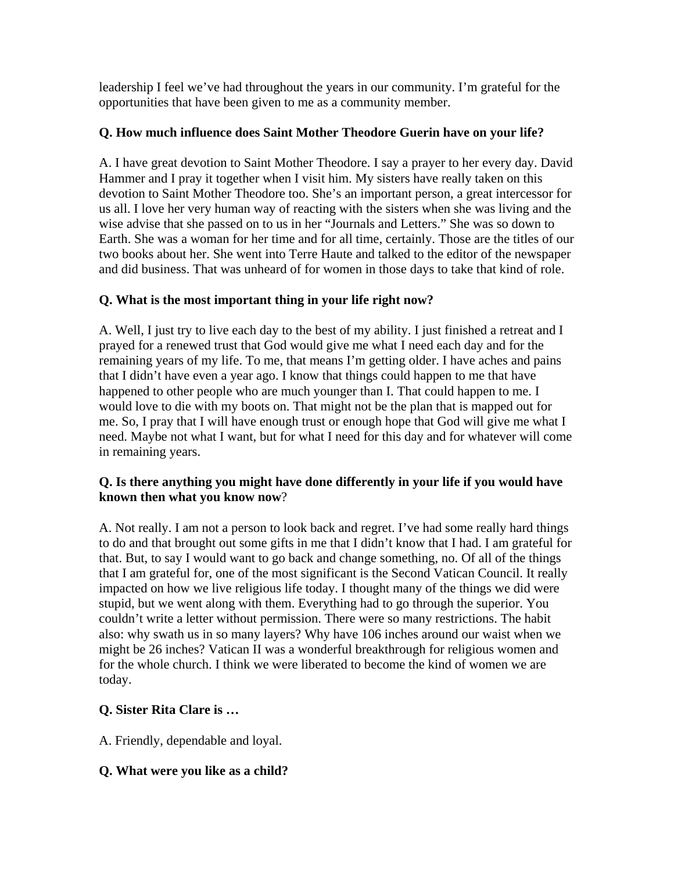leadership I feel we've had throughout the years in our community. I'm grateful for the opportunities that have been given to me as a community member.

### **Q. How much influence does Saint Mother Theodore Guerin have on your life?**

A. I have great devotion to Saint Mother Theodore. I say a prayer to her every day. David Hammer and I pray it together when I visit him. My sisters have really taken on this devotion to Saint Mother Theodore too. She's an important person, a great intercessor for us all. I love her very human way of reacting with the sisters when she was living and the wise advise that she passed on to us in her "Journals and Letters." She was so down to Earth. She was a woman for her time and for all time, certainly. Those are the titles of our two books about her. She went into Terre Haute and talked to the editor of the newspaper and did business. That was unheard of for women in those days to take that kind of role.

### **Q. What is the most important thing in your life right now?**

A. Well, I just try to live each day to the best of my ability. I just finished a retreat and I prayed for a renewed trust that God would give me what I need each day and for the remaining years of my life. To me, that means I'm getting older. I have aches and pains that I didn't have even a year ago. I know that things could happen to me that have happened to other people who are much younger than I. That could happen to me. I would love to die with my boots on. That might not be the plan that is mapped out for me. So, I pray that I will have enough trust or enough hope that God will give me what I need. Maybe not what I want, but for what I need for this day and for whatever will come in remaining years.

### **Q. Is there anything you might have done differently in your life if you would have known then what you know now**?

A. Not really. I am not a person to look back and regret. I've had some really hard things to do and that brought out some gifts in me that I didn't know that I had. I am grateful for that. But, to say I would want to go back and change something, no. Of all of the things that I am grateful for, one of the most significant is the Second Vatican Council. It really impacted on how we live religious life today. I thought many of the things we did were stupid, but we went along with them. Everything had to go through the superior. You couldn't write a letter without permission. There were so many restrictions. The habit also: why swath us in so many layers? Why have 106 inches around our waist when we might be 26 inches? Vatican II was a wonderful breakthrough for religious women and for the whole church. I think we were liberated to become the kind of women we are today.

### **Q. Sister Rita Clare is …**

A. Friendly, dependable and loyal.

### **Q. What were you like as a child?**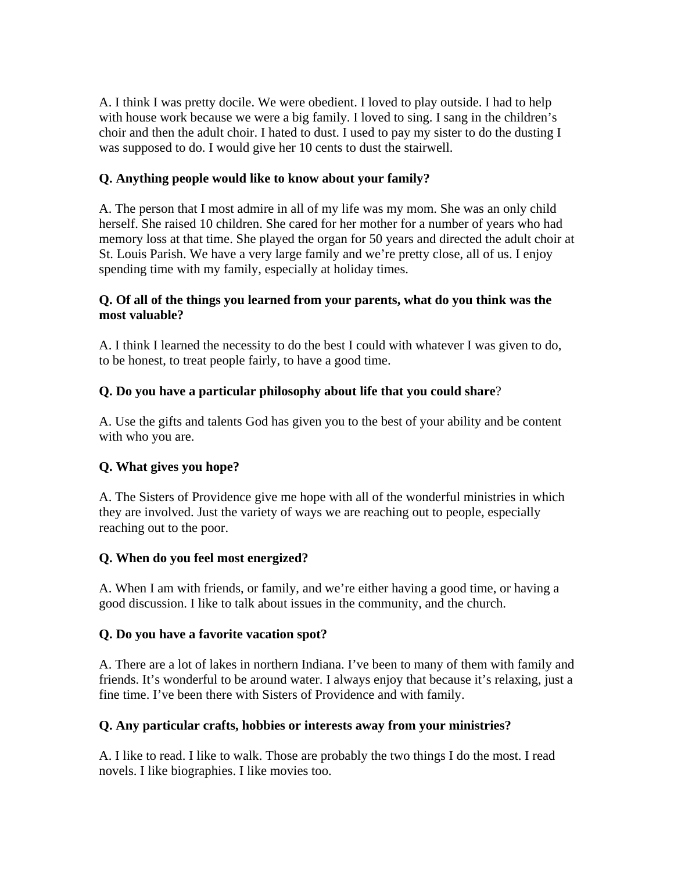A. I think I was pretty docile. We were obedient. I loved to play outside. I had to help with house work because we were a big family. I loved to sing. I sang in the children's choir and then the adult choir. I hated to dust. I used to pay my sister to do the dusting I was supposed to do. I would give her 10 cents to dust the stairwell.

### **Q. Anything people would like to know about your family?**

A. The person that I most admire in all of my life was my mom. She was an only child herself. She raised 10 children. She cared for her mother for a number of years who had memory loss at that time. She played the organ for 50 years and directed the adult choir at St. Louis Parish. We have a very large family and we're pretty close, all of us. I enjoy spending time with my family, especially at holiday times.

### **Q. Of all of the things you learned from your parents, what do you think was the most valuable?**

A. I think I learned the necessity to do the best I could with whatever I was given to do, to be honest, to treat people fairly, to have a good time.

# **Q. Do you have a particular philosophy about life that you could share**?

A. Use the gifts and talents God has given you to the best of your ability and be content with who you are.

# **Q. What gives you hope?**

A. The Sisters of Providence give me hope with all of the wonderful ministries in which they are involved. Just the variety of ways we are reaching out to people, especially reaching out to the poor.

# **Q. When do you feel most energized?**

A. When I am with friends, or family, and we're either having a good time, or having a good discussion. I like to talk about issues in the community, and the church.

# **Q. Do you have a favorite vacation spot?**

A. There are a lot of lakes in northern Indiana. I've been to many of them with family and friends. It's wonderful to be around water. I always enjoy that because it's relaxing, just a fine time. I've been there with Sisters of Providence and with family.

# **Q. Any particular crafts, hobbies or interests away from your ministries?**

A. I like to read. I like to walk. Those are probably the two things I do the most. I read novels. I like biographies. I like movies too.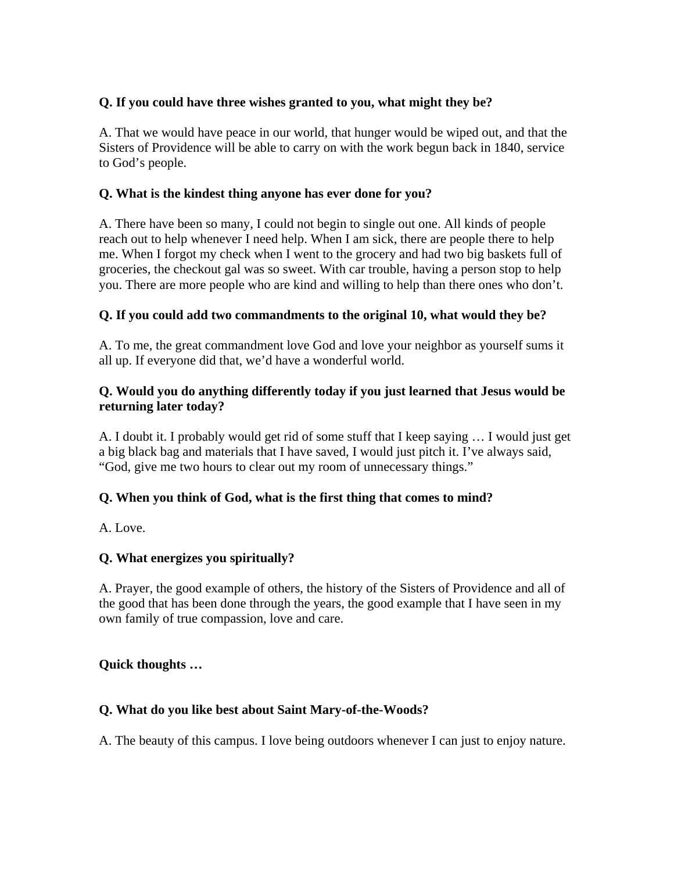### **Q. If you could have three wishes granted to you, what might they be?**

A. That we would have peace in our world, that hunger would be wiped out, and that the Sisters of Providence will be able to carry on with the work begun back in 1840, service to God's people.

### **Q. What is the kindest thing anyone has ever done for you?**

A. There have been so many, I could not begin to single out one. All kinds of people reach out to help whenever I need help. When I am sick, there are people there to help me. When I forgot my check when I went to the grocery and had two big baskets full of groceries, the checkout gal was so sweet. With car trouble, having a person stop to help you. There are more people who are kind and willing to help than there ones who don't.

### **Q. If you could add two commandments to the original 10, what would they be?**

A. To me, the great commandment love God and love your neighbor as yourself sums it all up. If everyone did that, we'd have a wonderful world.

### **Q. Would you do anything differently today if you just learned that Jesus would be returning later today?**

A. I doubt it. I probably would get rid of some stuff that I keep saying … I would just get a big black bag and materials that I have saved, I would just pitch it. I've always said, "God, give me two hours to clear out my room of unnecessary things."

# **Q. When you think of God, what is the first thing that comes to mind?**

A. Love.

# **Q. What energizes you spiritually?**

A. Prayer, the good example of others, the history of the Sisters of Providence and all of the good that has been done through the years, the good example that I have seen in my own family of true compassion, love and care.

### **Quick thoughts …**

### **Q. What do you like best about Saint Mary-of-the-Woods?**

A. The beauty of this campus. I love being outdoors whenever I can just to enjoy nature.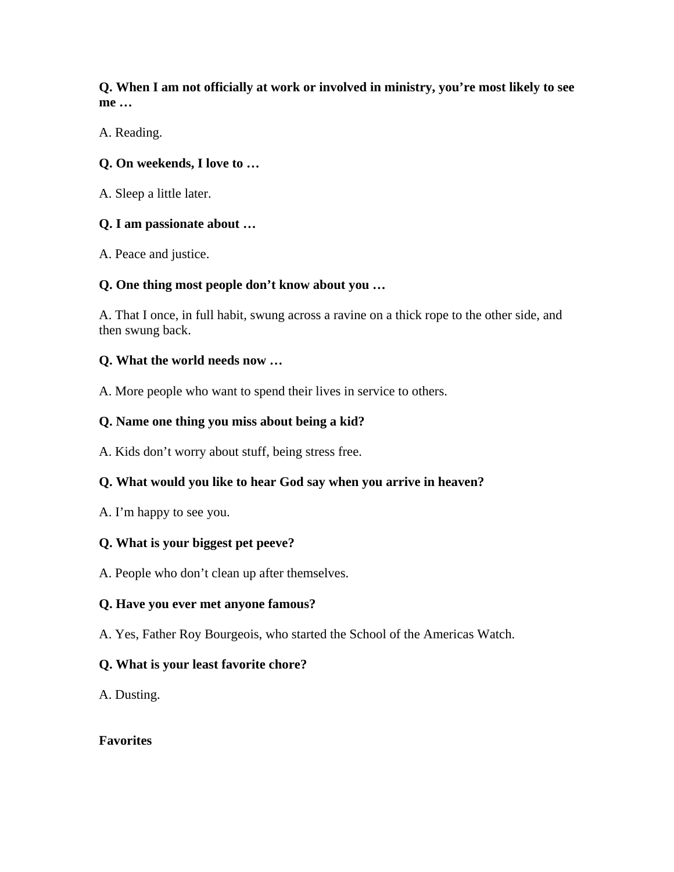**Q. When I am not officially at work or involved in ministry, you're most likely to see me …** 

A. Reading.

# **Q. On weekends, I love to …**

A. Sleep a little later.

# **Q. I am passionate about …**

A. Peace and justice.

# **Q. One thing most people don't know about you …**

A. That I once, in full habit, swung across a ravine on a thick rope to the other side, and then swung back.

### **Q. What the world needs now …**

A. More people who want to spend their lives in service to others.

# **Q. Name one thing you miss about being a kid?**

A. Kids don't worry about stuff, being stress free.

# **Q. What would you like to hear God say when you arrive in heaven?**

A. I'm happy to see you.

# **Q. What is your biggest pet peeve?**

A. People who don't clean up after themselves.

# **Q. Have you ever met anyone famous?**

A. Yes, Father Roy Bourgeois, who started the School of the Americas Watch.

# **Q. What is your least favorite chore?**

A. Dusting.

### **Favorites**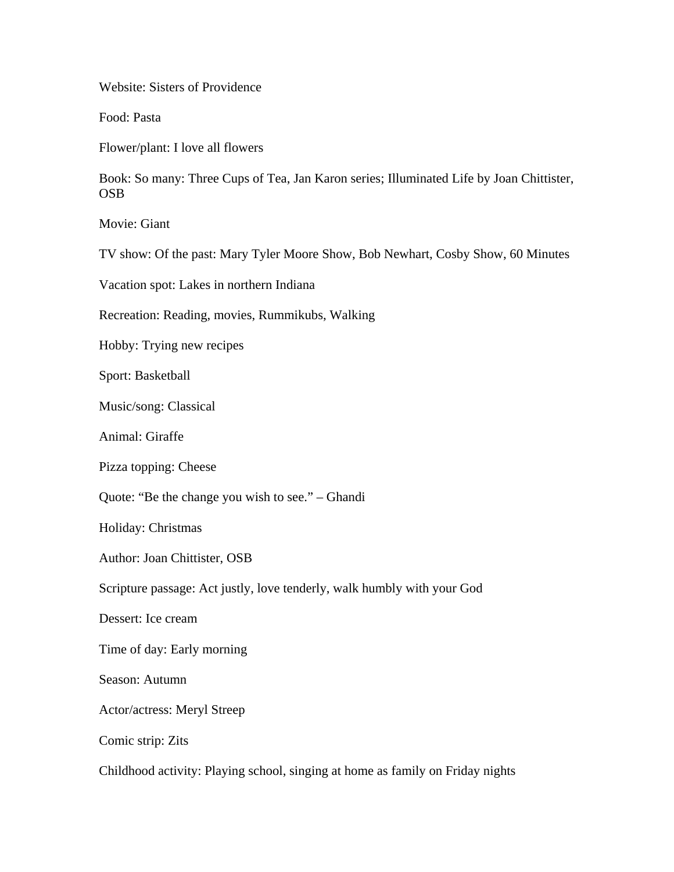Website: Sisters of Providence

Food: Pasta

Flower/plant: I love all flowers

Book: So many: Three Cups of Tea, Jan Karon series; Illuminated Life by Joan Chittister, OSB

Movie: Giant

TV show: Of the past: Mary Tyler Moore Show, Bob Newhart, Cosby Show, 60 Minutes

Vacation spot: Lakes in northern Indiana

Recreation: Reading, movies, Rummikubs, Walking

Hobby: Trying new recipes

Sport: Basketball

Music/song: Classical

Animal: Giraffe

Pizza topping: Cheese

Quote: "Be the change you wish to see." – Ghandi

Holiday: Christmas

Author: Joan Chittister, OSB

Scripture passage: Act justly, love tenderly, walk humbly with your God

Dessert: Ice cream

Time of day: Early morning

Season: Autumn

Actor/actress: Meryl Streep

Comic strip: Zits

Childhood activity: Playing school, singing at home as family on Friday nights